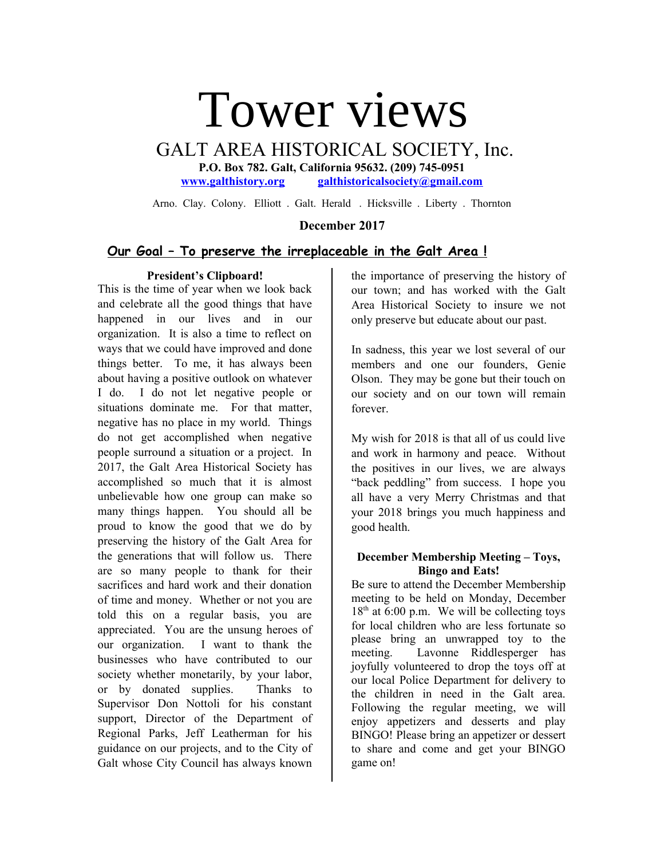# Tower views

GALT AREA HISTORICAL SOCIETY, Inc.

**P.O. Box 782. Galt, California 95632. (209) 745-0951 [www.galthistory.org](http://www.galthistory.org/) [galthistoricalsociety@gmail.com](mailto:galthistoricalsociety@gmail.com)**

Arno. Clay. Colony. Elliott . Galt. Herald . Hicksville . Liberty . Thornton

## **December 2017**

# **Our Goal – To preserve the irreplaceable in the Galt Area !**

#### **President's Clipboard!**

This is the time of year when we look back and celebrate all the good things that have happened in our lives and in our organization. It is also a time to reflect on ways that we could have improved and done things better. To me, it has always been about having a positive outlook on whatever I do. I do not let negative people or situations dominate me. For that matter, negative has no place in my world. Things do not get accomplished when negative people surround a situation or a project. In 2017, the Galt Area Historical Society has accomplished so much that it is almost unbelievable how one group can make so many things happen. You should all be proud to know the good that we do by preserving the history of the Galt Area for the generations that will follow us. There are so many people to thank for their sacrifices and hard work and their donation of time and money. Whether or not you are told this on a regular basis, you are appreciated. You are the unsung heroes of our organization. I want to thank the businesses who have contributed to our society whether monetarily, by your labor, or by donated supplies. Thanks to Supervisor Don Nottoli for his constant support, Director of the Department of Regional Parks, Jeff Leatherman for his guidance on our projects, and to the City of Galt whose City Council has always known

the importance of preserving the history of our town; and has worked with the Galt Area Historical Society to insure we not only preserve but educate about our past.

In sadness, this year we lost several of our members and one our founders, Genie Olson. They may be gone but their touch on our society and on our town will remain forever.

My wish for 2018 is that all of us could live and work in harmony and peace. Without the positives in our lives, we are always "back peddling" from success. I hope you all have a very Merry Christmas and that your 2018 brings you much happiness and good health.

#### **December Membership Meeting – Toys, Bingo and Eats!**

Be sure to attend the December Membership meeting to be held on Monday, December  $18<sup>th</sup>$  at 6:00 p.m. We will be collecting toys for local children who are less fortunate so please bring an unwrapped toy to the meeting. Lavonne Riddlesperger has joyfully volunteered to drop the toys off at our local Police Department for delivery to the children in need in the Galt area. Following the regular meeting, we will enjoy appetizers and desserts and play BINGO! Please bring an appetizer or dessert to share and come and get your BINGO game on!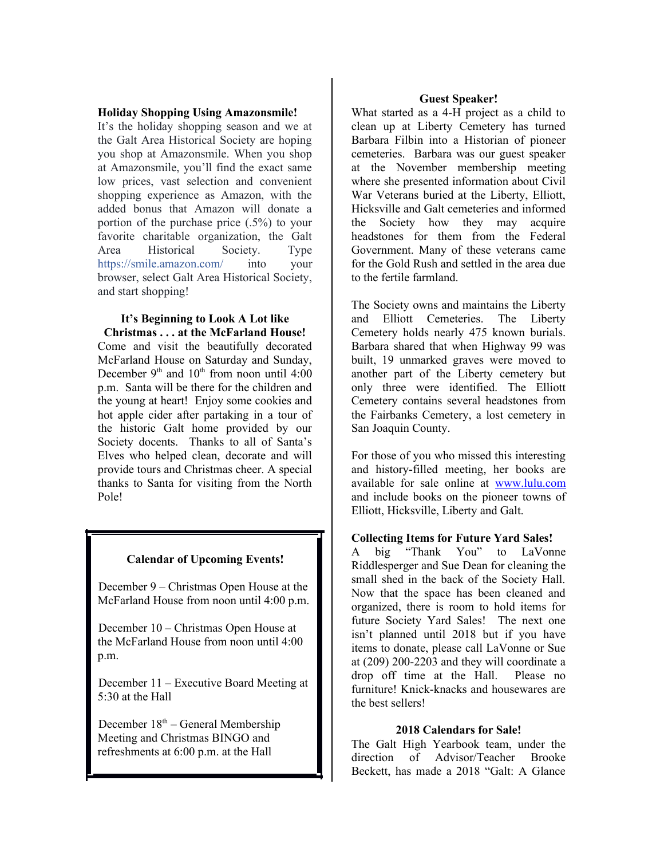#### **Holiday Shopping Using Amazonsmile!**

It's the holiday shopping season and we at the Galt Area Historical Society are hoping you shop at Amazonsmile. When you shop at Amazonsmile, you'll find the exact same low prices, vast selection and convenient shopping experience as Amazon, with the added bonus that Amazon will donate a portion of the purchase price (.5%) to your favorite charitable organization, the Galt Area Historical Society. Type [https://smile.amazon.com/](https://l.facebook.com/l.php?u=https%3A%2F%2Fsmile.amazon.com%2F&h=ATOc0F64moQeemU7O5tkv4dLhUnWRmanOpcJRgQtmBiNkiYur7ketG_Sp0hENdRQF2e44sR0B1roGlztLyQ6BV-l57PFoXyqXlm8ihzrOt7vkH6Bv9PwoFOfsBdDyd04Ld31Tk4u0T2vMkGKa4-2Mud4Bf3IJhYo1JWDzlB0vHdOt0gqv2YNTy0Wvx5etV8wu7N8mM_z1ZLcoTpPHb9OK7YE0XbzuDlf8_VyIDotj1gKIc2jtzdMtrxzFEn0F3VM-USkQR_FOqKIwxjaOJyZghS6h2Mt-QX7PzVJFcBTDeEVQPDCK8dwRQ) into your browser, select Galt Area Historical Society, and start shopping!

#### **It's Beginning to Look A Lot like Christmas . . . at the McFarland House!**

Come and visit the beautifully decorated McFarland House on Saturday and Sunday, December  $9<sup>th</sup>$  and  $10<sup>th</sup>$  from noon until 4:00 p.m. Santa will be there for the children and the young at heart! Enjoy some cookies and hot apple cider after partaking in a tour of the historic Galt home provided by our Society docents. Thanks to all of Santa's Elves who helped clean, decorate and will provide tours and Christmas cheer. A special thanks to Santa for visiting from the North Pole!

## **Calendar of Upcoming Events!**

December 9 – Christmas Open House at the McFarland House from noon until 4:00 p.m.

December 10 – Christmas Open House at the McFarland House from noon until 4:00 p.m.

December 11 – Executive Board Meeting at 5:30 at the Hall

December  $18<sup>th</sup>$  – General Membership Meeting and Christmas BINGO and refreshments at 6:00 p.m. at the Hall

#### **Guest Speaker!**

What started as a 4-H project as a child to clean up at Liberty Cemetery has turned Barbara Filbin into a Historian of pioneer cemeteries. Barbara was our guest speaker at the November membership meeting where she presented information about Civil War Veterans buried at the Liberty, Elliott, Hicksville and Galt cemeteries and informed the Society how they may acquire headstones for them from the Federal Government. Many of these veterans came for the Gold Rush and settled in the area due to the fertile farmland.

The Society owns and maintains the Liberty and Elliott Cemeteries. The Liberty Cemetery holds nearly 475 known burials. Barbara shared that when Highway 99 was built, 19 unmarked graves were moved to another part of the Liberty cemetery but only three were identified. The Elliott Cemetery contains several headstones from the Fairbanks Cemetery, a lost cemetery in San Joaquin County.

For those of you who missed this interesting and history-filled meeting, her books are available for sale online at [www.lulu.com](http://www.lulu.com/) and include books on the pioneer towns of Elliott, Hicksville, Liberty and Galt.

#### **Collecting Items for Future Yard Sales!**

A big "Thank You" to LaVonne Riddlesperger and Sue Dean for cleaning the small shed in the back of the Society Hall. Now that the space has been cleaned and organized, there is room to hold items for future Society Yard Sales! The next one isn't planned until 2018 but if you have items to donate, please call LaVonne or Sue at (209) 200-2203 and they will coordinate a drop off time at the Hall. Please no furniture! Knick-knacks and housewares are the best sellers!

#### **2018 Calendars for Sale!**

The Galt High Yearbook team, under the direction of Advisor/Teacher Brooke Beckett, has made a 2018 "Galt: A Glance